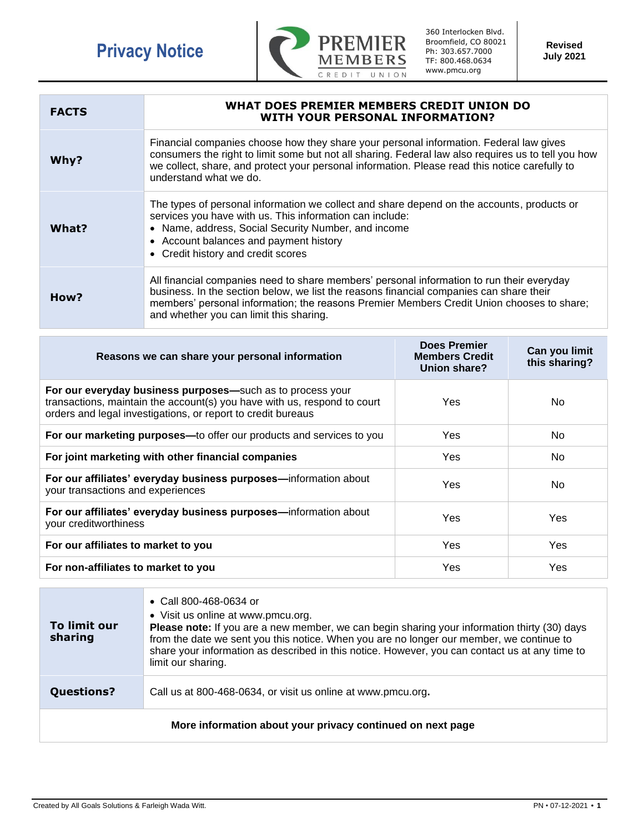

360 Interlocken Blvd. Broomfield, CO 80021 Ph: 303.657.7000 TF: 800.468.0634 www.pmcu.org

**Revised July 2021**

| <b>FACTS</b> | WHAT DOES PREMIER MEMBERS CREDIT UNION DO<br><b>WITH YOUR PERSONAL INFORMATION?</b>                                                                                                                                                                                                                                          |
|--------------|------------------------------------------------------------------------------------------------------------------------------------------------------------------------------------------------------------------------------------------------------------------------------------------------------------------------------|
| Why?         | Financial companies choose how they share your personal information. Federal law gives<br>consumers the right to limit some but not all sharing. Federal law also requires us to tell you how<br>we collect, share, and protect your personal information. Please read this notice carefully to<br>understand what we do.    |
| What?        | The types of personal information we collect and share depend on the accounts, products or<br>services you have with us. This information can include:<br>• Name, address, Social Security Number, and income<br>• Account balances and payment history<br>• Credit history and credit scores                                |
| How?         | All financial companies need to share members' personal information to run their everyday<br>business. In the section below, we list the reasons financial companies can share their<br>members' personal information; the reasons Premier Members Credit Union chooses to share;<br>and whether you can limit this sharing. |

| Reasons we can share your personal information                                                                                                                                                         | <b>Does Premier</b><br><b>Members Credit</b><br>Union share? | Can you limit<br>this sharing? |
|--------------------------------------------------------------------------------------------------------------------------------------------------------------------------------------------------------|--------------------------------------------------------------|--------------------------------|
| For our everyday business purposes-such as to process your<br>transactions, maintain the account(s) you have with us, respond to court<br>orders and legal investigations, or report to credit bureaus | Yes                                                          | No.                            |
| For our marketing purposes-to offer our products and services to you                                                                                                                                   | Yes                                                          | No.                            |
| For joint marketing with other financial companies                                                                                                                                                     | <b>Yes</b>                                                   | No.                            |
| For our affiliates' everyday business purposes-information about<br>your transactions and experiences                                                                                                  | Yes                                                          | No.                            |
| For our affiliates' everyday business purposes-information about<br>your creditworthiness                                                                                                              | Yes                                                          | Yes.                           |
| For our affiliates to market to you                                                                                                                                                                    | <b>Yes</b>                                                   | Yes                            |
| For non-affiliates to market to you                                                                                                                                                                    | Yes                                                          | Yes                            |

| To limit our<br>sharing                                    | • Call 800-468-0634 or<br>• Visit us online at www.pmcu.org.<br>Please note: If you are a new member, we can begin sharing your information thirty (30) days<br>from the date we sent you this notice. When you are no longer our member, we continue to<br>share your information as described in this notice. However, you can contact us at any time to<br>limit our sharing. |  |
|------------------------------------------------------------|----------------------------------------------------------------------------------------------------------------------------------------------------------------------------------------------------------------------------------------------------------------------------------------------------------------------------------------------------------------------------------|--|
| <b>Questions?</b>                                          | Call us at 800-468-0634, or visit us online at www.pmcu.org.                                                                                                                                                                                                                                                                                                                     |  |
| More information about your privacy continued on next page |                                                                                                                                                                                                                                                                                                                                                                                  |  |